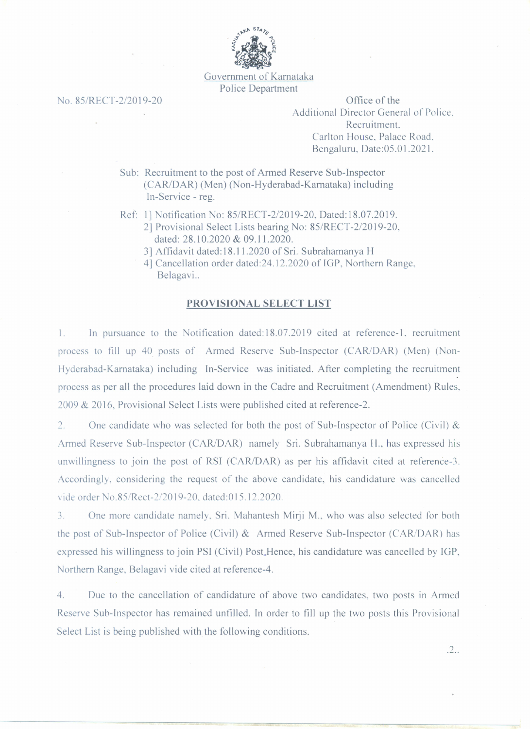

Government of Karnataka Police Department

0.85/RECT-2/2019-20 Office of the Additional Director General of Police. Recruitment. Carlton House, Palace Road. Bengaluru, Date:05.0 1.2021.

> Sub: Recruitment to the post of Armed Reserve Sub-Inspector (CAR/OAR) (Men) (Non-Hyderabad-Karnataka) including In-Service - reg.

Ref: I] Notification No: 85/RECT-2/2019-20. Dated:18.07.2019.

- 2] Provisional Select Lists bearing No: 85/RECT-2/20 19-20. dated: 28.10.2020 & 09.11.2020.
	- 3] Affidavit dated: 18.11.2020 of Sri. Subrahamanya H

4] Cancellation order dated:24.12.2020 of IGP. Northern Range. Belagavi..

## **PROVISIO AL SELECT LIST**

1. In pursuance to the Notification dated: 18.07.2019 cited at reference-1, recruitment process to fill up 40 posts of Armed Reserve Sub-Inspector (CAR/DAR) (Men) (Non-Hyderabad-Karnataka) including In-Service was initiated. After completing the recruitment process as per all the procedures laid down in the Cadre and Recruitment (Amendment) Rules. 2009 & 2016, Provisional Select Lists were published cited at reference-2.

2. One candidate who was selected for both the post of Sub-Inspector of Police (Civil) & Armed Reserve Sub-Inspector (CAR/OAR) namely Sri. Subrahamanya II., has expressed his unwillingness to join the post of RSI (CAR/OAR) as per his affidavit cited at reference-S. Accordingly. considering the request of the above candidate, his candidature was cancelled vide order No.85/Rect-2/2019-20, dated:015.12.2020.

3. One more candidate namely, Sri. Mahantesh Mirji M., who was also selected for both the post of Sub-Inspector of Police (Civil) & Armed Reserve Sub-Inspector (CAR/DAR) has expressed his willingness to join PSI (Civil) Post.Hence, his candidature was cancelled by IGP. Northern Range, Belagavi vide cited at reference-4.

4. Due to the cancellation of candidature of above two candidates. two posts in Armed Reserve Sub-Inspector has remained unfilled. In order to fill up the two posts this Provisional Select List is being published with the following conditions.

.2 ..